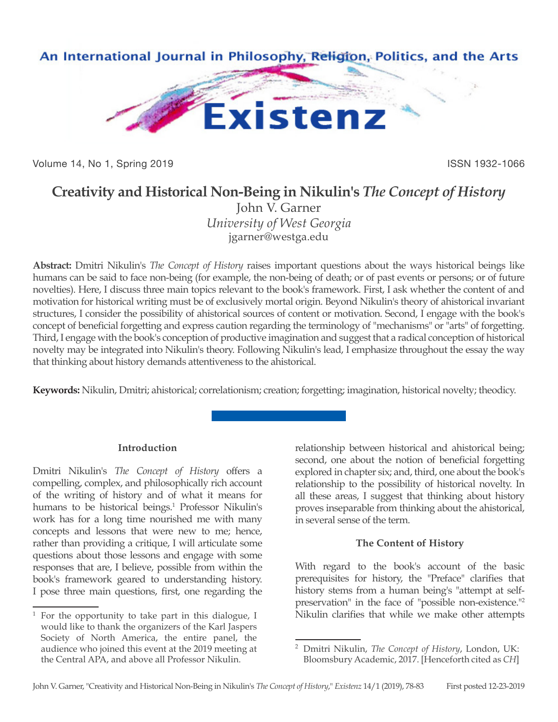

Volume 14, No 1, Spring 2019 **ISSN 1932-1066** ISSN 1932-1066

# **Creativity and Historical Non-Being in Nikulin's** *The Concept of History*

John V. Garner *University of West Georgia* jgarner@westga.edu

**Abstract:** Dmitri Nikulin's *The Concept of History* raises important questions about the ways historical beings like humans can be said to face non-being (for example, the non-being of death; or of past events or persons; or of future novelties). Here, I discuss three main topics relevant to the book's framework. First, I ask whether the content of and motivation for historical writing must be of exclusively mortal origin. Beyond Nikulin's theory of ahistorical invariant structures, I consider the possibility of ahistorical sources of content or motivation. Second, I engage with the book's concept of beneficial forgetting and express caution regarding the terminology of "mechanisms" or "arts" of forgetting. Third, I engage with the book's conception of productive imagination and suggest that a radical conception of historical novelty may be integrated into Nikulin's theory. Following Nikulin's lead, I emphasize throughout the essay the way that thinking about history demands attentiveness to the ahistorical.

**Keywords:** Nikulin, Dmitri; ahistorical; correlationism; creation; forgetting; imagination, historical novelty; theodicy.

## **Introduction**

Dmitri Nikulin's *The Concept of History* offers a compelling, complex, and philosophically rich account of the writing of history and of what it means for humans to be historical beings.<sup>1</sup> Professor Nikulin's work has for a long time nourished me with many concepts and lessons that were new to me; hence, rather than providing a critique, I will articulate some questions about those lessons and engage with some responses that are, I believe, possible from within the book's framework geared to understanding history. I pose three main questions, first, one regarding the

relationship between historical and ahistorical being; second, one about the notion of beneficial forgetting explored in chapter six; and, third, one about the book's relationship to the possibility of historical novelty. In all these areas, I suggest that thinking about history proves inseparable from thinking about the ahistorical, in several sense of the term.

## **The Content of History**

With regard to the book's account of the basic prerequisites for history, the "Preface" clarifies that history stems from a human being's "attempt at selfpreservation" in the face of "possible non-existence."<sup>2</sup> Nikulin clarifies that while we make other attempts

<sup>1</sup> For the opportunity to take part in this dialogue, I would like to thank the organizers of the Karl Jaspers Society of North America, the entire panel, the audience who joined this event at the 2019 meeting at the Central APA, and above all Professor Nikulin.

<sup>2</sup> Dmitri Nikulin, *The Concept of History*, London, UK: Bloomsbury Academic, 2017. [Henceforth cited as *CH*]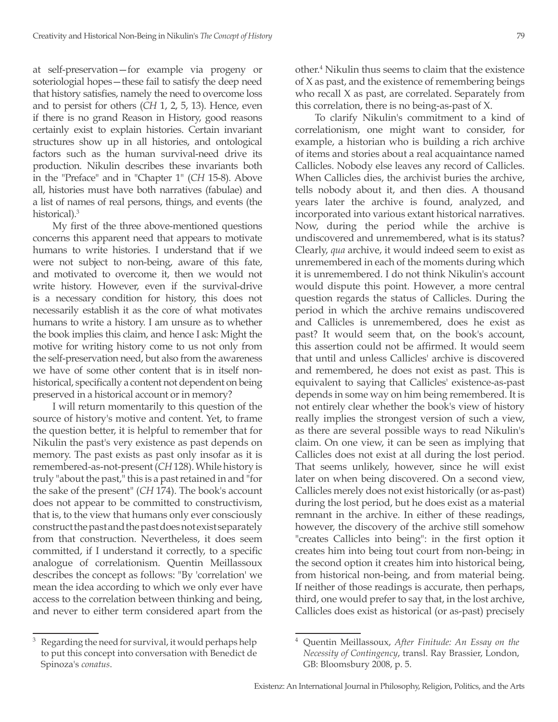at self-preservation—for example via progeny or soteriologial hopes—these fail to satisfy the deep need that history satisfies, namely the need to overcome loss and to persist for others (*CH* 1, 2, 5, 13). Hence, even if there is no grand Reason in History, good reasons certainly exist to explain histories. Certain invariant structures show up in all histories, and ontological factors such as the human survival-need drive its production. Nikulin describes these invariants both in the "Preface" and in "Chapter 1" (*CH* 15-8). Above all, histories must have both narratives (fabulae) and a list of names of real persons, things, and events (the historical).<sup>3</sup>

My first of the three above-mentioned questions concerns this apparent need that appears to motivate humans to write histories. I understand that if we were not subject to non-being, aware of this fate, and motivated to overcome it, then we would not write history. However, even if the survival-drive is a necessary condition for history, this does not necessarily establish it as the core of what motivates humans to write a history. I am unsure as to whether the book implies this claim, and hence I ask: Might the motive for writing history come to us not only from the self-preservation need, but also from the awareness we have of some other content that is in itself nonhistorical, specifically a content not dependent on being preserved in a historical account or in memory?

I will return momentarily to this question of the source of history's motive and content. Yet, to frame the question better, it is helpful to remember that for Nikulin the past's very existence as past depends on memory. The past exists as past only insofar as it is remembered-as-not-present (*CH* 128). While history is truly "about the past," this is a past retained in and "for the sake of the present" (*CH* 174). The book's account does not appear to be committed to constructivism, that is, to the view that humans only ever consciously construct the past and the past does not exist separately from that construction. Nevertheless, it does seem committed, if I understand it correctly, to a specific analogue of correlationism. Quentin Meillassoux describes the concept as follows: "By 'correlation' we mean the idea according to which we only ever have access to the correlation between thinking and being, and never to either term considered apart from the

other.4 Nikulin thus seems to claim that the existence of X as past, and the existence of remembering beings who recall X as past, are correlated. Separately from this correlation, there is no being-as-past of X.

To clarify Nikulin's commitment to a kind of correlationism, one might want to consider, for example, a historian who is building a rich archive of items and stories about a real acquaintance named Callicles. Nobody else leaves any record of Callicles. When Callicles dies, the archivist buries the archive, tells nobody about it, and then dies. A thousand years later the archive is found, analyzed, and incorporated into various extant historical narratives. Now, during the period while the archive is undiscovered and unremembered, what is its status? Clearly, *qua* archive, it would indeed seem to exist as unremembered in each of the moments during which it is unremembered. I do not think Nikulin's account would dispute this point. However, a more central question regards the status of Callicles. During the period in which the archive remains undiscovered and Callicles is unremembered, does he exist as past? It would seem that, on the book's account, this assertion could not be affirmed. It would seem that until and unless Callicles' archive is discovered and remembered, he does not exist as past. This is equivalent to saying that Callicles' existence-as-past depends in some way on him being remembered. It is not entirely clear whether the book's view of history really implies the strongest version of such a view, as there are several possible ways to read Nikulin's claim. On one view, it can be seen as implying that Callicles does not exist at all during the lost period. That seems unlikely, however, since he will exist later on when being discovered. On a second view, Callicles merely does not exist historically (or as-past) during the lost period, but he does exist as a material remnant in the archive. In either of these readings, however, the discovery of the archive still somehow "creates Callicles into being": in the first option it creates him into being tout court from non-being; in the second option it creates him into historical being, from historical non-being, and from material being. If neither of those readings is accurate, then perhaps, third, one would prefer to say that, in the lost archive, Callicles does exist as historical (or as-past) precisely

Regarding the need for survival, it would perhaps help to put this concept into conversation with Benedict de Spinoza's *conatus*.

<sup>4</sup> Quentin Meillassoux, *After Finitude: An Essay on the Necessity of Contingency*, transl. Ray Brassier, London, GB: Bloomsbury 2008, p. 5.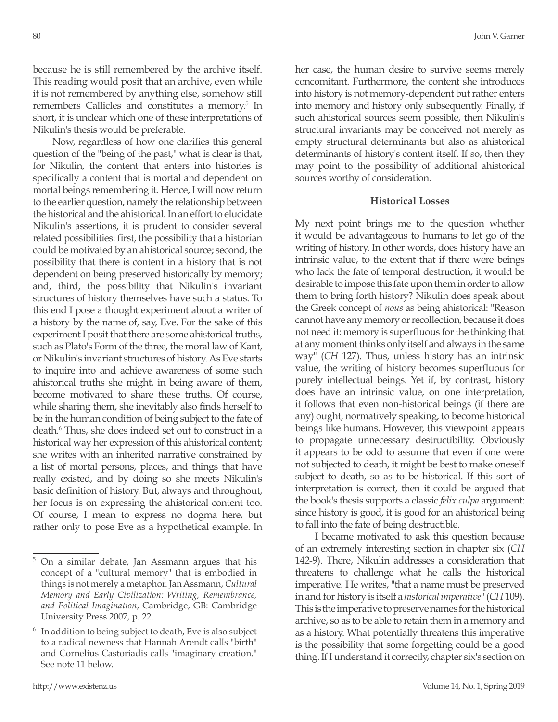because he is still remembered by the archive itself. This reading would posit that an archive, even while it is not remembered by anything else, somehow still remembers Callicles and constitutes a memory.<sup>5</sup> In short, it is unclear which one of these interpretations of Nikulin's thesis would be preferable.

Now, regardless of how one clarifies this general question of the "being of the past," what is clear is that, for Nikulin, the content that enters into histories is specifically a content that is mortal and dependent on mortal beings remembering it. Hence, I will now return to the earlier question, namely the relationship between the historical and the ahistorical. In an effort to elucidate Nikulin's assertions, it is prudent to consider several related possibilities: first, the possibility that a historian could be motivated by an ahistorical source; second, the possibility that there is content in a history that is not dependent on being preserved historically by memory; and, third, the possibility that Nikulin's invariant structures of history themselves have such a status. To this end I pose a thought experiment about a writer of a history by the name of, say, Eve. For the sake of this experiment I posit that there are some ahistorical truths, such as Plato's Form of the three, the moral law of Kant, or Nikulin's invariant structures of history. As Eve starts to inquire into and achieve awareness of some such ahistorical truths she might, in being aware of them, become motivated to share these truths. Of course, while sharing them, she inevitably also finds herself to be in the human condition of being subject to the fate of death.6 Thus, she does indeed set out to construct in a historical way her expression of this ahistorical content; she writes with an inherited narrative constrained by a list of mortal persons, places, and things that have really existed, and by doing so she meets Nikulin's basic definition of history. But, always and throughout, her focus is on expressing the ahistorical content too. Of course, I mean to express no dogma here, but rather only to pose Eve as a hypothetical example. In

her case, the human desire to survive seems merely concomitant. Furthermore, the content she introduces into history is not memory-dependent but rather enters into memory and history only subsequently. Finally, if such ahistorical sources seem possible, then Nikulin's structural invariants may be conceived not merely as empty structural determinants but also as ahistorical determinants of history's content itself. If so, then they may point to the possibility of additional ahistorical sources worthy of consideration.

#### **Historical Losses**

My next point brings me to the question whether it would be advantageous to humans to let go of the writing of history. In other words, does history have an intrinsic value, to the extent that if there were beings who lack the fate of temporal destruction, it would be desirable to impose this fate upon them in order to allow them to bring forth history? Nikulin does speak about the Greek concept of *nous* as being ahistorical: "Reason cannot have any memory or recollection, because it does not need it: memory is superfluous for the thinking that at any moment thinks only itself and always in the same way" (*CH* 127). Thus, unless history has an intrinsic value, the writing of history becomes superfluous for purely intellectual beings. Yet if, by contrast, history does have an intrinsic value, on one interpretation, it follows that even non-historical beings (if there are any) ought, normatively speaking, to become historical beings like humans. However, this viewpoint appears to propagate unnecessary destructibility. Obviously it appears to be odd to assume that even if one were not subjected to death, it might be best to make oneself subject to death, so as to be historical. If this sort of interpretation is correct, then it could be argued that the book's thesis supports a classic *felix culpa* argument: since history is good, it is good for an ahistorical being to fall into the fate of being destructible.

I became motivated to ask this question because of an extremely interesting section in chapter six (*CH* 142-9). There, Nikulin addresses a consideration that threatens to challenge what he calls the historical imperative. He writes, "that a name must be preserved in and for history is itself a *historical imperative*" (*CH* 109). This is the imperative to preserve names for the historical archive, so as to be able to retain them in a memory and as a history. What potentially threatens this imperative is the possibility that some forgetting could be a good thing. If I understand it correctly, chapter six's section on

<sup>5</sup> On a similar debate, Jan Assmann argues that his concept of a "cultural memory" that is embodied in things is not merely a metaphor. Jan Assmann, *Cultural Memory and Early Civilization: Writing, Remembrance, and Political Imagination*, Cambridge, GB: Cambridge University Press 2007, p. 22.

<sup>&</sup>lt;sup>6</sup> In addition to being subject to death, Eve is also subject to a radical newness that Hannah Arendt calls "birth" and Cornelius Castoriadis calls "imaginary creation." See note 11 below.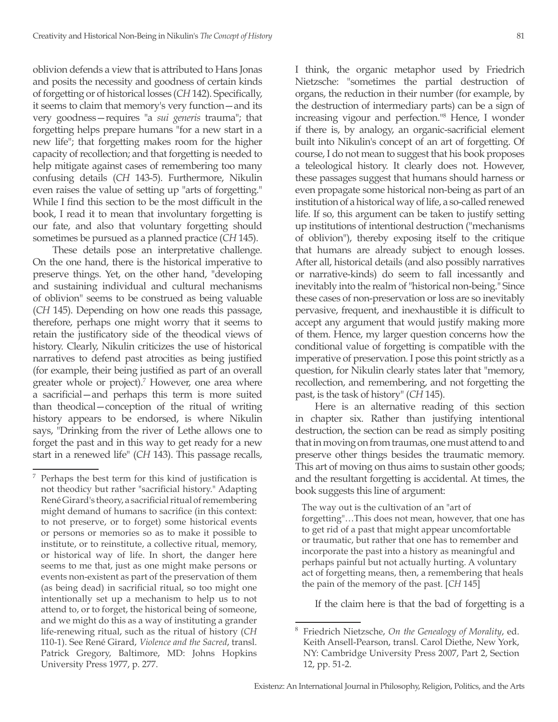oblivion defends a view that is attributed to Hans Jonas and posits the necessity and goodness of certain kinds of forgetting or of historical losses (*CH* 142). Specifically, it seems to claim that memory's very function—and its very goodness—requires "a *sui generis* trauma"; that forgetting helps prepare humans "for a new start in a new life"; that forgetting makes room for the higher capacity of recollection; and that forgetting is needed to help mitigate against cases of remembering too many confusing details (*CH* 143-5). Furthermore, Nikulin even raises the value of setting up "arts of forgetting." While I find this section to be the most difficult in the book, I read it to mean that involuntary forgetting is our fate, and also that voluntary forgetting should sometimes be pursued as a planned practice (*CH* 145).

These details pose an interpretative challenge. On the one hand, there is the historical imperative to preserve things. Yet, on the other hand, "developing and sustaining individual and cultural mechanisms of oblivion" seems to be construed as being valuable (*CH* 145). Depending on how one reads this passage, therefore, perhaps one might worry that it seems to retain the justificatory side of the theodical views of history. Clearly, Nikulin criticizes the use of historical narratives to defend past atrocities as being justified (for example, their being justified as part of an overall greater whole or project).<sup>7</sup> However, one area where a sacrificial—and perhaps this term is more suited than theodical—conception of the ritual of writing history appears to be endorsed, is where Nikulin says, "Drinking from the river of Lethe allows one to forget the past and in this way to get ready for a new start in a renewed life" (*CH* 143). This passage recalls,

I think, the organic metaphor used by Friedrich Nietzsche: "sometimes the partial destruction of organs, the reduction in their number (for example, by the destruction of intermediary parts) can be a sign of increasing vigour and perfection."<sup>8</sup> Hence, I wonder if there is, by analogy, an organic-sacrificial element built into Nikulin's concept of an art of forgetting. Of course, I do not mean to suggest that his book proposes a teleological history. It clearly does not. However, these passages suggest that humans should harness or even propagate some historical non-being as part of an institution of a historical way of life, a so-called renewed life. If so, this argument can be taken to justify setting up institutions of intentional destruction ("mechanisms of oblivion"), thereby exposing itself to the critique that humans are already subject to enough losses. After all, historical details (and also possibly narratives or narrative-kinds) do seem to fall incessantly and inevitably into the realm of "historical non-being." Since these cases of non-preservation or loss are so inevitably pervasive, frequent, and inexhaustible it is difficult to accept any argument that would justify making more of them. Hence, my larger question concerns how the conditional value of forgetting is compatible with the imperative of preservation. I pose this point strictly as a question, for Nikulin clearly states later that "memory, recollection, and remembering, and not forgetting the past, is the task of history" (*CH* 145).

Here is an alternative reading of this section in chapter six. Rather than justifying intentional destruction, the section can be read as simply positing that in moving on from traumas, one must attend to and preserve other things besides the traumatic memory. This art of moving on thus aims to sustain other goods; and the resultant forgetting is accidental. At times, the book suggests this line of argument:

The way out is the cultivation of an "art of forgetting"…This does not mean, however, that one has to get rid of a past that might appear uncomfortable or traumatic, but rather that one has to remember and incorporate the past into a history as meaningful and perhaps painful but not actually hurting. A voluntary act of forgetting means, then, a remembering that heals the pain of the memory of the past. [*CH* 145]

If the claim here is that the bad of forgetting is a

<sup>7</sup> Perhaps the best term for this kind of justification is not theodicy but rather "sacrificial history." Adapting René Girard's theory, a sacrificial ritual of remembering might demand of humans to sacrifice (in this context: to not preserve, or to forget) some historical events or persons or memories so as to make it possible to institute, or to reinstitute, a collective ritual, memory, or historical way of life. In short, the danger here seems to me that, just as one might make persons or events non-existent as part of the preservation of them (as being dead) in sacrificial ritual, so too might one intentionally set up a mechanism to help us to not attend to, or to forget, the historical being of someone, and we might do this as a way of instituting a grander life-renewing ritual, such as the ritual of history (*CH* 110-1). See René Girard, *Violence and the Sacred*, transl. Patrick Gregory, Baltimore, MD: Johns Hopkins University Press 1977, p. 277.

<sup>8</sup> Friedrich Nietzsche, *On the Genealogy of Morality*, ed. Keith Ansell-Pearson, transl. Carol Diethe, New York, NY: Cambridge University Press 2007, Part 2, Section 12, pp. 51-2.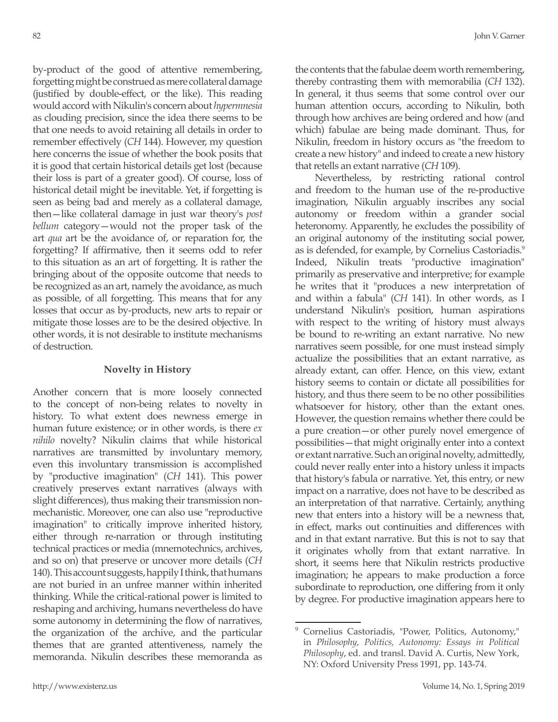by-product of the good of attentive remembering, forgetting might be construed as mere collateral damage (justified by double-effect, or the like). This reading would accord with Nikulin's concern about *hypermnesia* as clouding precision, since the idea there seems to be that one needs to avoid retaining all details in order to remember effectively (*CH* 144). However, my question here concerns the issue of whether the book posits that it is good that certain historical details get lost (because their loss is part of a greater good). Of course, loss of historical detail might be inevitable. Yet, if forgetting is seen as being bad and merely as a collateral damage, then—like collateral damage in just war theory's *post bellum* category—would not the proper task of the art *qua* art be the avoidance of, or reparation for, the forgetting? If affirmative, then it seems odd to refer to this situation as an art of forgetting. It is rather the bringing about of the opposite outcome that needs to be recognized as an art, namely the avoidance, as much as possible, of all forgetting. This means that for any losses that occur as by-products, new arts to repair or mitigate those losses are to be the desired objective. In other words, it is not desirable to institute mechanisms of destruction.

### **Novelty in History**

Another concern that is more loosely connected to the concept of non-being relates to novelty in history. To what extent does newness emerge in human future existence; or in other words, is there *ex nihilo* novelty? Nikulin claims that while historical narratives are transmitted by involuntary memory, even this involuntary transmission is accomplished by "productive imagination" (*CH* 141). This power creatively preserves extant narratives (always with slight differences), thus making their transmission nonmechanistic. Moreover, one can also use "reproductive imagination" to critically improve inherited history, either through re-narration or through instituting technical practices or media (mnemotechnics, archives, and so on) that preserve or uncover more details (*CH* 140). This account suggests, happily I think, that humans are not buried in an unfree manner within inherited thinking. While the critical-rational power is limited to reshaping and archiving, humans nevertheless do have some autonomy in determining the flow of narratives, the organization of the archive, and the particular themes that are granted attentiveness, namely the memoranda. Nikulin describes these memoranda as

the contents that the fabulae deem worth remembering, thereby contrasting them with memorabilia (*CH* 132). In general, it thus seems that some control over our human attention occurs, according to Nikulin, both through how archives are being ordered and how (and which) fabulae are being made dominant. Thus, for Nikulin, freedom in history occurs as "the freedom to create a new history" and indeed to create a new history that retells an extant narrative (*CH* 109).

Nevertheless, by restricting rational control and freedom to the human use of the re-productive imagination, Nikulin arguably inscribes any social autonomy or freedom within a grander social heteronomy. Apparently, he excludes the possibility of an original autonomy of the instituting social power, as is defended, for example, by Cornelius Castoriadis.<sup>9</sup> Indeed, Nikulin treats "productive imagination" primarily as preservative and interpretive; for example he writes that it "produces a new interpretation of and within a fabula" (*CH* 141). In other words, as I understand Nikulin's position, human aspirations with respect to the writing of history must always be bound to re-writing an extant narrative. No new narratives seem possible, for one must instead simply actualize the possibilities that an extant narrative, as already extant, can offer. Hence, on this view, extant history seems to contain or dictate all possibilities for history, and thus there seem to be no other possibilities whatsoever for history, other than the extant ones. However, the question remains whether there could be a pure creation—or other purely novel emergence of possibilities—that might originally enter into a context or extant narrative. Such an original novelty, admittedly, could never really enter into a history unless it impacts that history's fabula or narrative. Yet, this entry, or new impact on a narrative, does not have to be described as an interpretation of that narrative. Certainly, anything new that enters into a history will be a newness that, in effect, marks out continuities and differences with and in that extant narrative. But this is not to say that it originates wholly from that extant narrative. In short, it seems here that Nikulin restricts productive imagination; he appears to make production a force subordinate to reproduction, one differing from it only by degree. For productive imagination appears here to

<sup>&</sup>lt;sup>9</sup> Cornelius Castoriadis, "Power, Politics, Autonomy," in *Philosophy, Politics, Autonomy: Essays in Political Philosophy*, ed. and transl. David A. Curtis, New York, NY: Oxford University Press 1991, pp. 143-74.